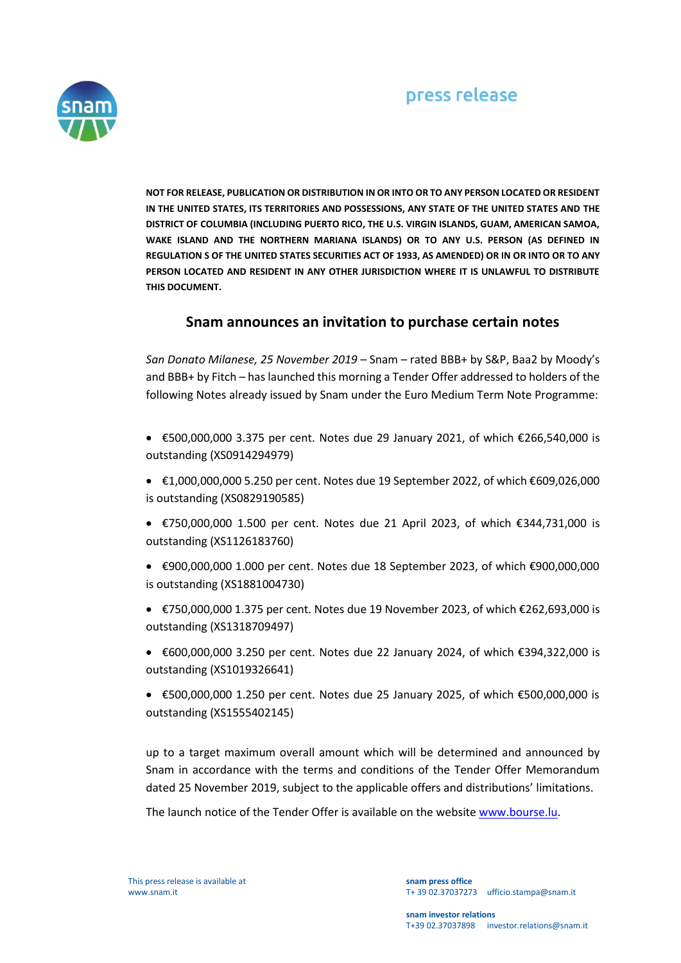

**NOT FOR RELEASE, PUBLICATION OR DISTRIBUTION IN OR INTO OR TO ANY PERSON LOCATED OR RESIDENT IN THE UNITED STATES, ITS TERRITORIES AND POSSESSIONS, ANY STATE OF THE UNITED STATES AND THE DISTRICT OF COLUMBIA (INCLUDING PUERTO RICO, THE U.S. VIRGIN ISLANDS, GUAM, AMERICAN SAMOA, WAKE ISLAND AND THE NORTHERN MARIANA ISLANDS) OR TO ANY U.S. PERSON (AS DEFINED IN REGULATION S OF THE UNITED STATES SECURITIES ACT OF 1933, AS AMENDED) OR IN OR INTO OR TO ANY PERSON LOCATED AND RESIDENT IN ANY OTHER JURISDICTION WHERE IT IS UNLAWFUL TO DISTRIBUTE THIS DOCUMENT.**

## **Snam announces an invitation to purchase certain notes**

*San Donato Milanese, 25 November 2019* – Snam – rated BBB+ by S&P, Baa2 by Moody's and BBB+ by Fitch – has launched this morning a Tender Offer addressed to holders of the following Notes already issued by Snam under the Euro Medium Term Note Programme:

- €500,000,000 3.375 per cent. Notes due 29 January 2021, of which €266,540,000 is outstanding (XS0914294979)
- €1,000,000,000 5.250 per cent. Notes due 19 September 2022, of which €609,026,000 is outstanding (XS0829190585)
- €750,000,000 1.500 per cent. Notes due 21 April 2023, of which €344,731,000 is outstanding (XS1126183760)
- €900,000,000 1.000 per cent. Notes due 18 September 2023, of which €900,000,000 is outstanding (XS1881004730)
- €750,000,000 1.375 per cent. Notes due 19 November 2023, of which €262,693,000 is outstanding (XS1318709497)
- €600,000,000 3.250 per cent. Notes due 22 January 2024, of which €394,322,000 is outstanding (XS1019326641)
- €500,000,000 1.250 per cent. Notes due 25 January 2025, of which €500,000,000 is outstanding (XS1555402145)

up to a target maximum overall amount which will be determined and announced by Snam in accordance with the terms and conditions of the Tender Offer Memorandum dated 25 November 2019, subject to the applicable offers and distributions' limitations.

The launch notice of the Tender Offer is available on the website [www.bourse.lu.](http://www.bourse.lu/)

**snam press office** T+ 39 02.37037273 ufficio.stampa@snam.it